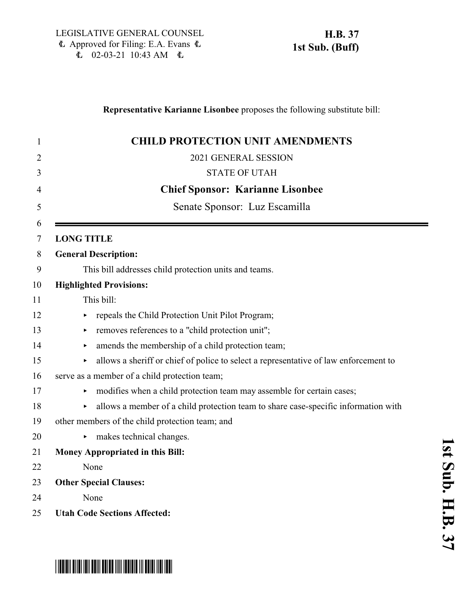## **Representative Karianne Lisonbee** proposes the following substitute bill:

| 1      | <b>CHILD PROTECTION UNIT AMENDMENTS</b>                                                  |
|--------|------------------------------------------------------------------------------------------|
| 2      | 2021 GENERAL SESSION                                                                     |
| 3      | <b>STATE OF UTAH</b>                                                                     |
| 4      | <b>Chief Sponsor: Karianne Lisonbee</b>                                                  |
| 5      | Senate Sponsor: Luz Escamilla                                                            |
| 6<br>7 | <b>LONG TITLE</b>                                                                        |
| 8      | <b>General Description:</b>                                                              |
| 9      | This bill addresses child protection units and teams.                                    |
| 10     | <b>Highlighted Provisions:</b>                                                           |
| 11     | This bill:                                                                               |
| 12     | repeals the Child Protection Unit Pilot Program;                                         |
| 13     | removes references to a "child protection unit";                                         |
| 14     | amends the membership of a child protection team;                                        |
| 15     | allows a sheriff or chief of police to select a representative of law enforcement to     |
| 16     | serve as a member of a child protection team;                                            |
| 17     | modifies when a child protection team may assemble for certain cases;                    |
| 18     | allows a member of a child protection team to share case-specific information with<br>Þ. |
| 19     | other members of the child protection team; and                                          |
| 20     | makes technical changes.<br>▶.                                                           |
| 21     | Money Appropriated in this Bill:                                                         |
| 22     | None                                                                                     |
| 23     | <b>Other Special Clauses:</b>                                                            |
| 24     | None                                                                                     |
| 25     | <b>Utah Code Sections Affected:</b>                                                      |

# \*HB0037S01\*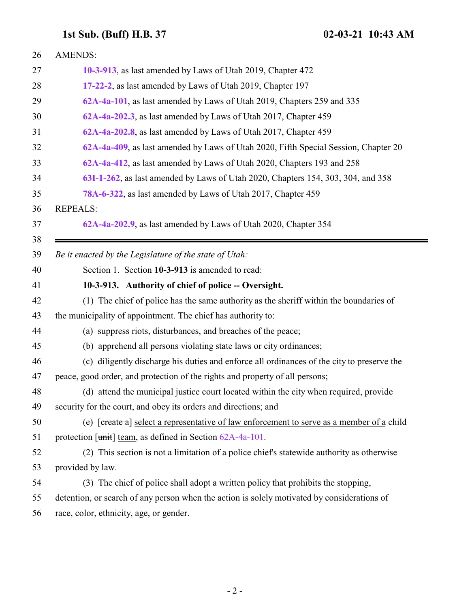<span id="page-1-0"></span>

| 26 | <b>AMENDS:</b>                                                                              |
|----|---------------------------------------------------------------------------------------------|
| 27 | 10-3-913, as last amended by Laws of Utah 2019, Chapter 472                                 |
| 28 | 17-22-2, as last amended by Laws of Utah 2019, Chapter 197                                  |
| 29 | 62A-4a-101, as last amended by Laws of Utah 2019, Chapters 259 and 335                      |
| 30 | 62A-4a-202.3, as last amended by Laws of Utah 2017, Chapter 459                             |
| 31 | 62A-4a-202.8, as last amended by Laws of Utah 2017, Chapter 459                             |
| 32 | 62A-4a-409, as last amended by Laws of Utah 2020, Fifth Special Session, Chapter 20         |
| 33 | 62A-4a-412, as last amended by Laws of Utah 2020, Chapters 193 and 258                      |
| 34 | 63I-1-262, as last amended by Laws of Utah 2020, Chapters 154, 303, 304, and 358            |
| 35 | 78A-6-322, as last amended by Laws of Utah 2017, Chapter 459                                |
| 36 | <b>REPEALS:</b>                                                                             |
| 37 | 62A-4a-202.9, as last amended by Laws of Utah 2020, Chapter 354                             |
| 38 |                                                                                             |
| 39 | Be it enacted by the Legislature of the state of Utah:                                      |
| 40 | Section 1. Section 10-3-913 is amended to read:                                             |
| 41 | 10-3-913. Authority of chief of police -- Oversight.                                        |
| 42 | (1) The chief of police has the same authority as the sheriff within the boundaries of      |
| 43 | the municipality of appointment. The chief has authority to:                                |
| 44 | (a) suppress riots, disturbances, and breaches of the peace;                                |
| 45 | (b) apprehend all persons violating state laws or city ordinances;                          |
| 46 | (c) diligently discharge his duties and enforce all ordinances of the city to preserve the  |
| 47 | peace, good order, and protection of the rights and property of all persons;                |
| 48 | (d) attend the municipal justice court located within the city when required, provide       |
| 49 | security for the court, and obey its orders and directions; and                             |
| 50 | (e) [create a] select a representative of law enforcement to serve as a member of a child   |
| 51 | protection $[\text{unit}]$ team, as defined in Section $62A-4a-101$ .                       |
| 52 | (2) This section is not a limitation of a police chief's statewide authority as otherwise   |
| 53 | provided by law.                                                                            |
| 54 | (3) The chief of police shall adopt a written policy that prohibits the stopping,           |
| 55 | detention, or search of any person when the action is solely motivated by considerations of |
| 56 | race, color, ethnicity, age, or gender.                                                     |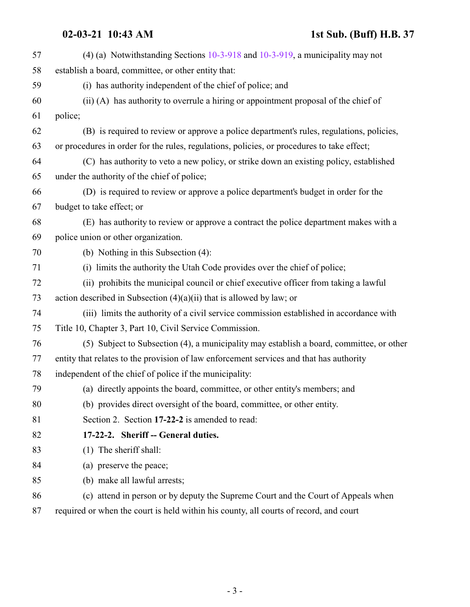| 57 | (4) (a) Notwithstanding Sections $10-3-918$ and $10-3-919$ , a municipality may not        |
|----|--------------------------------------------------------------------------------------------|
| 58 | establish a board, committee, or other entity that:                                        |
| 59 | (i) has authority independent of the chief of police; and                                  |
| 60 | (ii) (A) has authority to overrule a hiring or appointment proposal of the chief of        |
| 61 | police;                                                                                    |
| 62 | (B) is required to review or approve a police department's rules, regulations, policies,   |
| 63 | or procedures in order for the rules, regulations, policies, or procedures to take effect; |
| 64 | (C) has authority to veto a new policy, or strike down an existing policy, established     |
| 65 | under the authority of the chief of police;                                                |
| 66 | (D) is required to review or approve a police department's budget in order for the         |
| 67 | budget to take effect; or                                                                  |
| 68 | (E) has authority to review or approve a contract the police department makes with a       |
| 69 | police union or other organization.                                                        |
| 70 | (b) Nothing in this Subsection (4):                                                        |
| 71 | (i) limits the authority the Utah Code provides over the chief of police;                  |
| 72 | (ii) prohibits the municipal council or chief executive officer from taking a lawful       |
| 73 | action described in Subsection $(4)(a)(ii)$ that is allowed by law; or                     |
| 74 | (iii) limits the authority of a civil service commission established in accordance with    |
| 75 | Title 10, Chapter 3, Part 10, Civil Service Commission.                                    |
| 76 | (5) Subject to Subsection (4), a municipality may establish a board, committee, or other   |
| 77 | entity that relates to the provision of law enforcement services and that has authority    |
| 78 | independent of the chief of police if the municipality:                                    |
| 79 | (a) directly appoints the board, committee, or other entity's members; and                 |
| 80 | (b) provides direct oversight of the board, committee, or other entity.                    |
| 81 | Section 2. Section 17-22-2 is amended to read:                                             |
| 82 | 17-22-2. Sheriff -- General duties.                                                        |
| 83 | $(1)$ The sheriff shall:                                                                   |
| 84 | (a) preserve the peace;                                                                    |
| 85 | (b) make all lawful arrests;                                                               |
| 86 | (c) attend in person or by deputy the Supreme Court and the Court of Appeals when          |
|    |                                                                                            |

required or when the court is held within his county, all courts of record, and court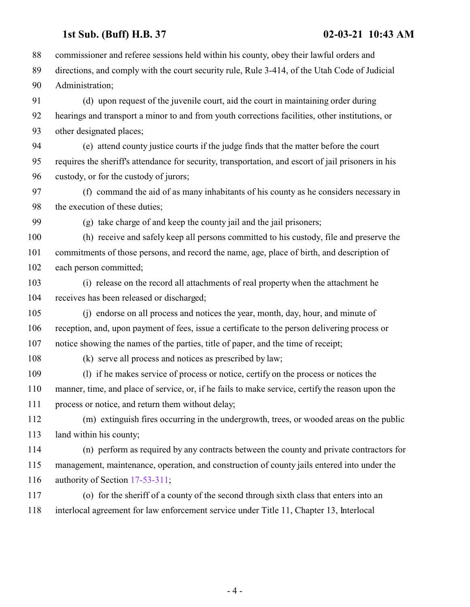commissioner and referee sessions held within his county, obey their lawful orders and directions, and comply with the court security rule, Rule 3-414, of the Utah Code of Judicial Administration; (d) upon request of the juvenile court, aid the court in maintaining order during hearings and transport a minor to and from youth corrections facilities, other institutions, or other designated places; (e) attend county justice courts if the judge finds that the matter before the court requires the sheriff's attendance for security, transportation, and escort of jail prisoners in his custody, or for the custody of jurors; (f) command the aid of as many inhabitants of his county as he considers necessary in the execution of these duties; (g) take charge of and keep the county jail and the jail prisoners; (h) receive and safely keep all persons committed to his custody, file and preserve the commitments of those persons, and record the name, age, place of birth, and description of each person committed; (i) release on the record all attachments of real property when the attachment he receives has been released or discharged; (j) endorse on all process and notices the year, month, day, hour, and minute of reception, and, upon payment of fees, issue a certificate to the person delivering process or notice showing the names of the parties, title of paper, and the time of receipt; (k) serve all process and notices as prescribed by law; (l) if he makes service of process or notice, certify on the process or notices the manner, time, and place of service, or, if he fails to make service, certify the reason upon the process or notice, and return them without delay; (m) extinguish fires occurring in the undergrowth, trees, or wooded areas on the public land within his county; (n) perform as required by any contracts between the county and private contractors for management, maintenance, operation, and construction of county jails entered into under the authority of Section [17-53-311](http://le.utah.gov/UtahCode/SectionLookup.jsp?section=17-53-311&session=2021GS); (o) for the sheriff of a county of the second through sixth class that enters into an interlocal agreement for law enforcement service under Title 11, Chapter 13, Interlocal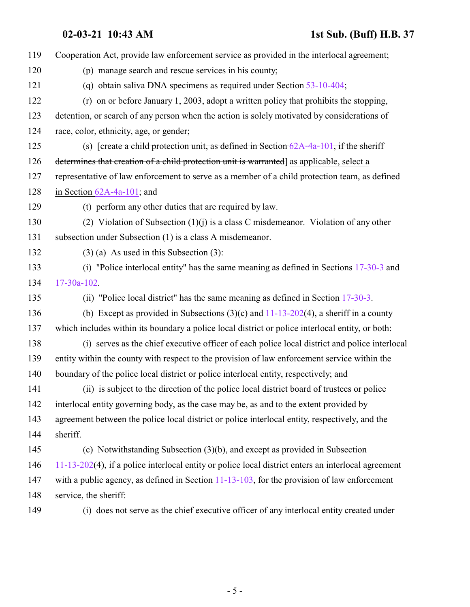| 119 | Cooperation Act, provide law enforcement service as provided in the interlocal agreement;              |
|-----|--------------------------------------------------------------------------------------------------------|
| 120 | (p) manage search and rescue services in his county;                                                   |
| 121 | (q) obtain saliva DNA specimens as required under Section 53-10-404;                                   |
| 122 | $(r)$ on or before January 1, 2003, adopt a written policy that prohibits the stopping,                |
| 123 | detention, or search of any person when the action is solely motivated by considerations of            |
| 124 | race, color, ethnicity, age, or gender;                                                                |
| 125 | (s) [create a child protection unit, as defined in Section $62A-4a-101$ , if the sheriff               |
| 126 | determines that creation of a child protection unit is warranted] as applicable, select a              |
| 127 | representative of law enforcement to serve as a member of a child protection team, as defined          |
| 128 | in Section $62A-4a-101$ ; and                                                                          |
| 129 | (t) perform any other duties that are required by law.                                                 |
| 130 | (2) Violation of Subsection $(1)(i)$ is a class C misdemeanor. Violation of any other                  |
| 131 | subsection under Subsection (1) is a class A misdemeanor.                                              |
| 132 | $(3)$ (a) As used in this Subsection (3):                                                              |
| 133 | (i) "Police interlocal entity" has the same meaning as defined in Sections $17-30-3$ and               |
| 134 | $17 - 30a - 102$ .                                                                                     |
| 135 | (ii) "Police local district" has the same meaning as defined in Section 17-30-3.                       |
| 136 | (b) Except as provided in Subsections $(3)(c)$ and $11-13-202(4)$ , a sheriff in a county              |
| 137 | which includes within its boundary a police local district or police interlocal entity, or both:       |
| 138 | (i) serves as the chief executive officer of each police local district and police interlocal          |
| 139 | entity within the county with respect to the provision of law enforcement service within the           |
| 140 | boundary of the police local district or police interlocal entity, respectively; and                   |
| 141 | (ii) is subject to the direction of the police local district board of trustees or police              |
| 142 | interlocal entity governing body, as the case may be, as and to the extent provided by                 |
| 143 | agreement between the police local district or police interlocal entity, respectively, and the         |
| 144 | sheriff.                                                                                               |
| 145 | (c) Notwithstanding Subsection $(3)(b)$ , and except as provided in Subsection                         |
| 146 | $11-13-202(4)$ , if a police interlocal entity or police local district enters an interlocal agreement |
| 147 | with a public agency, as defined in Section $11-13-103$ , for the provision of law enforcement         |
| 148 | service, the sheriff:                                                                                  |
| 149 | (i) does not serve as the chief executive officer of any interlocal entity created under               |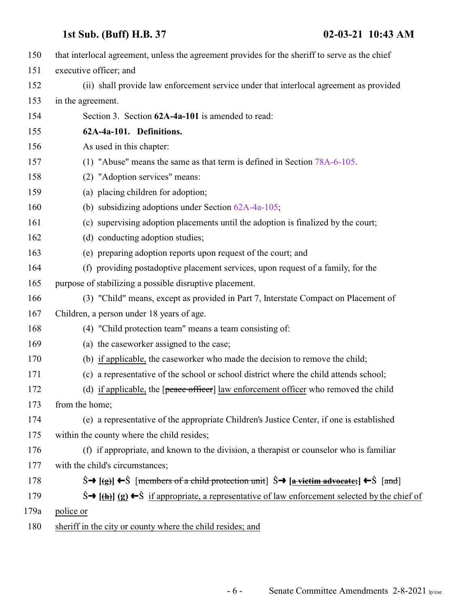| 150  | that interlocal agreement, unless the agreement provides for the sheriff to serve as the chief                                                              |
|------|-------------------------------------------------------------------------------------------------------------------------------------------------------------|
| 151  | executive officer; and                                                                                                                                      |
| 152  | (ii) shall provide law enforcement service under that interlocal agreement as provided                                                                      |
| 153  | in the agreement.                                                                                                                                           |
| 154  | Section 3. Section 62A-4a-101 is amended to read:                                                                                                           |
| 155  | 62A-4a-101. Definitions.                                                                                                                                    |
| 156  | As used in this chapter:                                                                                                                                    |
| 157  | (1) "Abuse" means the same as that term is defined in Section 78A-6-105.                                                                                    |
| 158  | (2) "Adoption services" means:                                                                                                                              |
| 159  | (a) placing children for adoption;                                                                                                                          |
| 160  | (b) subsidizing adoptions under Section $62A-4a-105$ ;                                                                                                      |
| 161  | (c) supervising adoption placements until the adoption is finalized by the court;                                                                           |
| 162  | (d) conducting adoption studies;                                                                                                                            |
| 163  | (e) preparing adoption reports upon request of the court; and                                                                                               |
| 164  | (f) providing postadoptive placement services, upon request of a family, for the                                                                            |
| 165  | purpose of stabilizing a possible disruptive placement.                                                                                                     |
| 166  | (3) "Child" means, except as provided in Part 7, Interstate Compact on Placement of                                                                         |
| 167  | Children, a person under 18 years of age.                                                                                                                   |
| 168  | (4) "Child protection team" means a team consisting of:                                                                                                     |
| 169  | (a) the caseworker assigned to the case;                                                                                                                    |
| 170  | (b) if applicable, the caseworker who made the decision to remove the child;                                                                                |
| 171  | (c) a representative of the school or school district where the child attends school;                                                                       |
| 172  | (d) if applicable, the $[peace offer]$ law enforcement officer who removed the child                                                                        |
| 173  | from the home;                                                                                                                                              |
| 174  | (e) a representative of the appropriate Children's Justice Center, if one is established                                                                    |
| 175  | within the county where the child resides;                                                                                                                  |
| 176  | (f) if appropriate, and known to the division, a therapist or counselor who is familiar                                                                     |
| 177  | with the child's circumstances;                                                                                                                             |
| 178  | $\hat{S} \rightarrow$ [(g)] $\leftarrow \hat{S}$ [members of a child protection unit] $\hat{S} \rightarrow$ [a vietim advocate;] $\leftarrow \hat{S}$ [and] |
| 179  | $\hat{S} \rightarrow [\frac{h}{m}]$ (g) $\leftarrow \hat{S}$ if appropriate, a representative of law enforcement selected by the chief of                   |
| 179a | police or                                                                                                                                                   |
| 180  | sheriff in the city or county where the child resides; and                                                                                                  |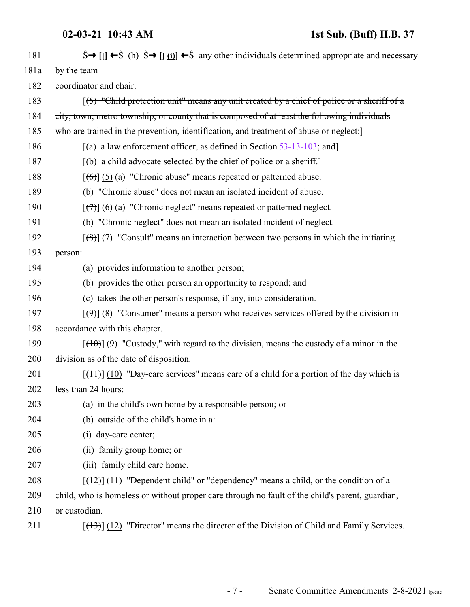# **02-03-21 10:43 AM 1st Sub. (Buff) H.B. 37**

| 181  | $\hat{S} \rightarrow [H] \leftarrow \hat{S}$ (h) $\hat{S} \rightarrow [H \rightarrow \hat{S}]$ any other individuals determined appropriate and necessary |
|------|-----------------------------------------------------------------------------------------------------------------------------------------------------------|
| 181a | by the team                                                                                                                                               |
| 182  | coordinator and chair.                                                                                                                                    |
| 183  | $(5)$ "Child protection unit" means any unit created by a chief of police or a sheriff of a                                                               |
| 184  | city, town, metro township, or county that is composed of at least the following individuals                                                              |
| 185  | who are trained in the prevention, identification, and treatment of abuse or neglect:                                                                     |
| 186  | $[(a)$ a law enforcement officer, as defined in Section 53-13-103; and                                                                                    |
| 187  | $(6)$ a child advocate selected by the chief of police or a sheriff.                                                                                      |
| 188  | $[$ (6)] (5) (a) "Chronic abuse" means repeated or patterned abuse.                                                                                       |
| 189  | (b) "Chronic abuse" does not mean an isolated incident of abuse.                                                                                          |
| 190  | $[\overline{(+)}]$ (6) (a) "Chronic neglect" means repeated or patterned neglect.                                                                         |
| 191  | (b) "Chronic neglect" does not mean an isolated incident of neglect.                                                                                      |
| 192  | $\left[\frac{1}{2}\left(7\right)$ "Consult" means an interaction between two persons in which the initiating                                              |
| 193  | person:                                                                                                                                                   |
| 194  | (a) provides information to another person;                                                                                                               |
| 195  | (b) provides the other person an opportunity to respond; and                                                                                              |
| 196  | (c) takes the other person's response, if any, into consideration.                                                                                        |
| 197  | $[\langle 9 \rangle]$ (8) "Consumer" means a person who receives services offered by the division in                                                      |
| 198  | accordance with this chapter.                                                                                                                             |
| 199  | $[\frac{(10)}{(9)}]$ (9) "Custody," with regard to the division, means the custody of a minor in the                                                      |
| 200  | division as of the date of disposition.                                                                                                                   |
| 201  | $[\frac{(11)}{(10)}]$ "Day-care services" means care of a child for a portion of the day which is                                                         |
| 202  | less than 24 hours:                                                                                                                                       |
| 203  | (a) in the child's own home by a responsible person; or                                                                                                   |
| 204  | (b) outside of the child's home in a:                                                                                                                     |
| 205  | (i) day-care center;                                                                                                                                      |
| 206  | (ii) family group home; or                                                                                                                                |
| 207  | (iii) family child care home.                                                                                                                             |
| 208  | $[$ (12) $]$ (11) "Dependent child" or "dependency" means a child, or the condition of a                                                                  |
| 209  | child, who is homeless or without proper care through no fault of the child's parent, guardian,                                                           |
| 210  | or custodian.                                                                                                                                             |
| 211  | $[\frac{(13)}{(12)}]$ "Director" means the director of the Division of Child and Family Services.                                                         |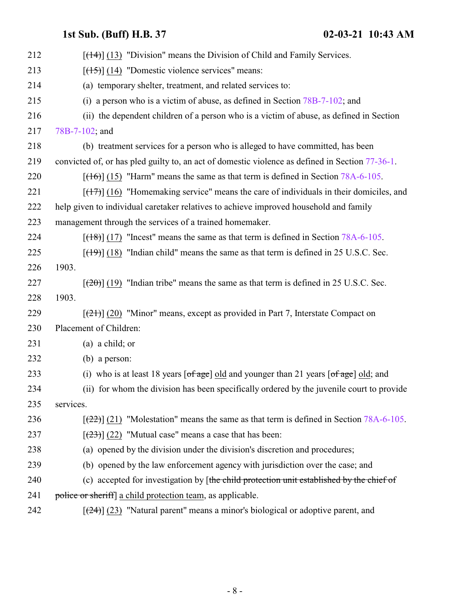| 212 | $[$ (14+)] (13) "Division" means the Division of Child and Family Services.                                                     |
|-----|---------------------------------------------------------------------------------------------------------------------------------|
| 213 | $[ (14)$ "Domestic violence services" means:                                                                                    |
| 214 | (a) temporary shelter, treatment, and related services to:                                                                      |
| 215 | (i) a person who is a victim of abuse, as defined in Section $78B-7-102$ ; and                                                  |
| 216 | (ii) the dependent children of a person who is a victim of abuse, as defined in Section                                         |
| 217 | 78B-7-102; and                                                                                                                  |
| 218 | (b) treatment services for a person who is alleged to have committed, has been                                                  |
| 219 | convicted of, or has pled guilty to, an act of domestic violence as defined in Section 77-36-1.                                 |
| 220 | $[ (16) ] (15)$ "Harm" means the same as that term is defined in Section 78A-6-105.                                             |
| 221 | $[ (17) ]$ (16) "Homemaking service" means the care of individuals in their domiciles, and                                      |
| 222 | help given to individual caretaker relatives to achieve improved household and family                                           |
| 223 | management through the services of a trained homemaker.                                                                         |
| 224 | $[ (18) ]$ (17) "Incest" means the same as that term is defined in Section 78A-6-105.                                           |
| 225 | $[$ (19)] (18) "Indian child" means the same as that term is defined in 25 U.S.C. Sec.                                          |
| 226 | 1903.                                                                                                                           |
| 227 | $[2\theta]$ (19) "Indian tribe" means the same as that term is defined in 25 U.S.C. Sec.                                        |
| 228 | 1903.                                                                                                                           |
| 229 | $[\frac{(21)}{(20)}]$ "Minor" means, except as provided in Part 7, Interstate Compact on                                        |
| 230 | Placement of Children:                                                                                                          |
| 231 | $(a)$ a child; or                                                                                                               |
| 232 | $(b)$ a person:                                                                                                                 |
| 233 | (i) who is at least 18 years $\lceil \text{of age} \rceil$ old and younger than 21 years $\lceil \text{of age} \rceil$ old; and |
| 234 | (ii) for whom the division has been specifically ordered by the juvenile court to provide                                       |
| 235 | services.                                                                                                                       |
| 236 | $[22]$ (21) "Molestation" means the same as that term is defined in Section 78A-6-105.                                          |
| 237 | $[23]$ (22) "Mutual case" means a case that has been:                                                                           |
| 238 | (a) opened by the division under the division's discretion and procedures;                                                      |
| 239 | (b) opened by the law enforcement agency with jurisdiction over the case; and                                                   |
| 240 | (c) accepted for investigation by [the child protection unit established by the chief of                                        |
| 241 | police or sheriff] a child protection team, as applicable.                                                                      |
| 242 | $[\frac{24}{2}]$ (23) "Natural parent" means a minor's biological or adoptive parent, and                                       |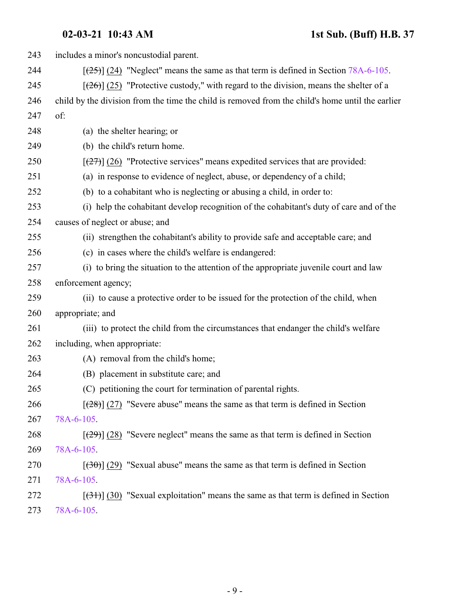| 243 | includes a minor's noncustodial parent.                                                          |
|-----|--------------------------------------------------------------------------------------------------|
| 244 | $[25]$ (24) "Neglect" means the same as that term is defined in Section 78A-6-105.               |
| 245 | $[26]$ (25) "Protective custody," with regard to the division, means the shelter of a            |
| 246 | child by the division from the time the child is removed from the child's home until the earlier |
| 247 | of:                                                                                              |
| 248 | (a) the shelter hearing; or                                                                      |
| 249 | (b) the child's return home.                                                                     |
| 250 | $[27]$ (26) "Protective services" means expedited services that are provided:                    |
| 251 | (a) in response to evidence of neglect, abuse, or dependency of a child;                         |
| 252 | (b) to a cohabitant who is neglecting or abusing a child, in order to:                           |
| 253 | (i) help the cohabitant develop recognition of the cohabitant's duty of care and of the          |
| 254 | causes of neglect or abuse; and                                                                  |
| 255 | (ii) strengthen the cohabitant's ability to provide safe and acceptable care; and                |
| 256 | (c) in cases where the child's welfare is endangered:                                            |
| 257 | (i) to bring the situation to the attention of the appropriate juvenile court and law            |
| 258 | enforcement agency;                                                                              |
| 259 | (ii) to cause a protective order to be issued for the protection of the child, when              |
| 260 | appropriate; and                                                                                 |
| 261 | (iii) to protect the child from the circumstances that endanger the child's welfare              |
| 262 | including, when appropriate:                                                                     |
| 263 | (A) removal from the child's home;                                                               |
| 264 | (B) placement in substitute care; and                                                            |
| 265 | (C) petitioning the court for termination of parental rights.                                    |
| 266 | $[28]$ (27) "Severe abuse" means the same as that term is defined in Section                     |
| 267 | 78A-6-105.                                                                                       |
| 268 | $[29]$ (28) "Severe neglect" means the same as that term is defined in Section                   |
| 269 | 78A-6-105                                                                                        |
| 270 | $[300]$ (29) "Sexual abuse" means the same as that term is defined in Section                    |
| 271 | 78A-6-105                                                                                        |
| 272 | $[34]$ (30) "Sexual exploitation" means the same as that term is defined in Section              |
| 273 | 78A-6-105.                                                                                       |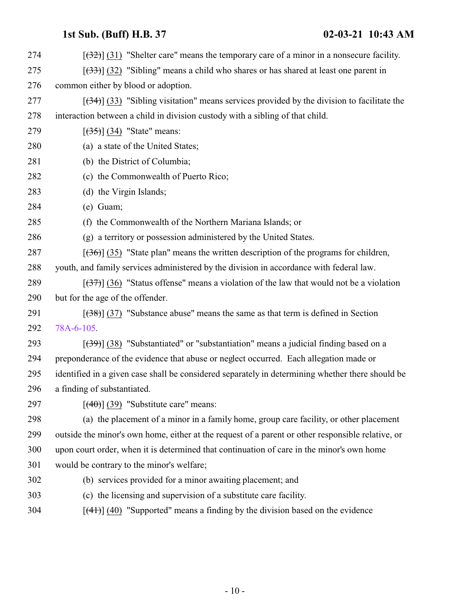$[3274]$  [(32)] (31) "Shelter care" means the temporary care of a minor in a nonsecure facility.  $\left[\frac{(33)}{(32)}\right]$  (32) "Sibling" means a child who shares or has shared at least one parent in common either by blood or adoption.  $[34]$  (33) "Sibling visitation" means services provided by the division to facilitate the interaction between a child in division custody with a sibling of that child.  $[(35)] (34)$  "State" means: (a) a state of the United States; (b) the District of Columbia; (c) the Commonwealth of Puerto Rico; (d) the Virgin Islands; (e) Guam; (f) the Commonwealth of the Northern Mariana Islands; or (g) a territory or possession administered by the United States.  $[(36)]$  (35) "State plan" means the written description of the programs for children, youth, and family services administered by the division in accordance with federal law.  $\left[\frac{(37)}{(36)}\right]$  (36) "Status offense" means a violation of the law that would not be a violation but for the age of the offender.  $[38]$   $[37]$  "Substance abuse" means the same as that term is defined in Section [78A-6-105](http://le.utah.gov/UtahCode/SectionLookup.jsp?section=78a-6-105&session=2021GS).  $\left[\frac{(39)}{(38)}\right]$  (38) "Substantiated" or "substantiation" means a judicial finding based on a preponderance of the evidence that abuse or neglect occurred. Each allegation made or identified in a given case shall be considered separately in determining whether there should be a finding of substantiated.  $[(40)] (39)$  "Substitute care" means: (a) the placement of a minor in a family home, group care facility, or other placement outside the minor's own home, either at the request of a parent or other responsible relative, or upon court order, when it is determined that continuation of care in the minor's own home would be contrary to the minor's welfare; (b) services provided for a minor awaiting placement; and (c) the licensing and supervision of a substitute care facility. [(41)] (40) "Supported" means a finding by the division based on the evidence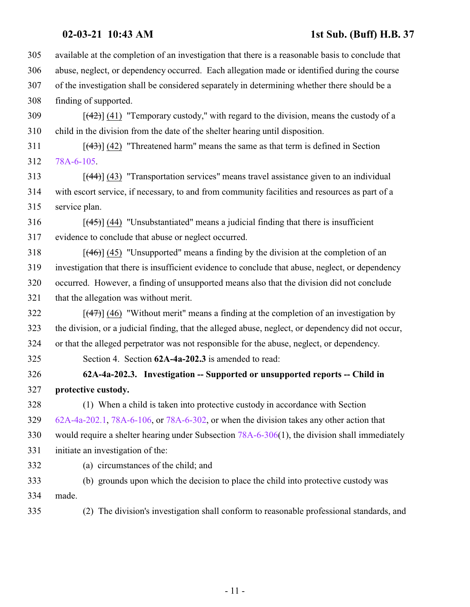## **02-03-21 10:43 AM 1st Sub. (Buff) H.B. 37**

 available at the completion of an investigation that there is a reasonable basis to conclude that abuse, neglect, or dependency occurred. Each allegation made or identified during the course of the investigation shall be considered separately in determining whether there should be a finding of supported.

 [(42)] (41) "Temporary custody," with regard to the division, means the custody of a child in the division from the date of the shelter hearing until disposition.

 $[43]$  (42) "Threatened harm" means the same as that term is defined in Section [78A-6-105](http://le.utah.gov/UtahCode/SectionLookup.jsp?section=78a-6-105&session=2021GS).

313 [(44)] (43) "Transportation services" means travel assistance given to an individual with escort service, if necessary, to and from community facilities and resources as part of a service plan.

 [ $(45)$ ] (44) "Unsubstantiated" means a judicial finding that there is insufficient evidence to conclude that abuse or neglect occurred.

 [(46)] (45) "Unsupported" means a finding by the division at the completion of an investigation that there is insufficient evidence to conclude that abuse, neglect, or dependency occurred. However, a finding of unsupported means also that the division did not conclude that the allegation was without merit.

 [(47)] (46) "Without merit" means a finding at the completion of an investigation by the division, or a judicial finding, that the alleged abuse, neglect, or dependency did not occur, or that the alleged perpetrator was not responsible for the abuse, neglect, or dependency.

Section 4. Section **62A-4a-202.3** is amended to read:

 **62A-4a-202.3. Investigation -- Supported or unsupported reports -- Child in protective custody.**

 (1) When a child is taken into protective custody in accordance with Section [62A-4a-202.1](http://le.utah.gov/UtahCode/SectionLookup.jsp?section=62a-4a-202.1&session=2021GS), [78A-6-106](http://le.utah.gov/UtahCode/SectionLookup.jsp?section=78a-6-106&session=2021GS), or [78A-6-302](http://le.utah.gov/UtahCode/SectionLookup.jsp?section=78a-6-302&session=2021GS), or when the division takes any other action that would require a shelter hearing under Subsection [78A-6-306](http://le.utah.gov/UtahCode/SectionLookup.jsp?section=78a-6-306&session=2021GS)(1), the division shall immediately

initiate an investigation of the:

(a) circumstances of the child; and

- (b) grounds upon which the decision to place the child into protective custody was made.
- (2) The division's investigation shall conform to reasonable professional standards, and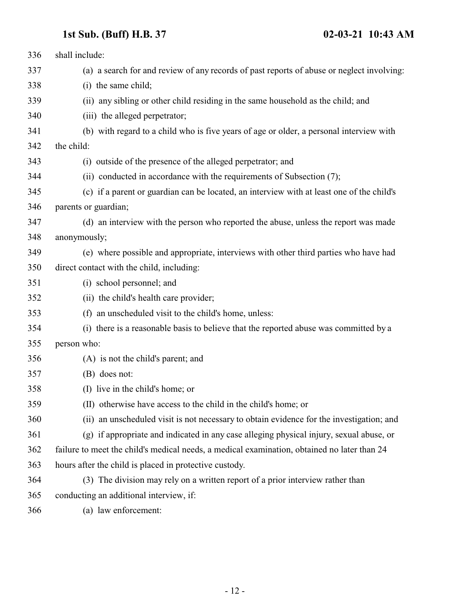| 336 | shall include:                                                                              |
|-----|---------------------------------------------------------------------------------------------|
| 337 | (a) a search for and review of any records of past reports of abuse or neglect involving:   |
| 338 | (i) the same child;                                                                         |
| 339 | (ii) any sibling or other child residing in the same household as the child; and            |
| 340 | (iii) the alleged perpetrator;                                                              |
| 341 | (b) with regard to a child who is five years of age or older, a personal interview with     |
| 342 | the child:                                                                                  |
| 343 | (i) outside of the presence of the alleged perpetrator; and                                 |
| 344 | (ii) conducted in accordance with the requirements of Subsection (7);                       |
| 345 | (c) if a parent or guardian can be located, an interview with at least one of the child's   |
| 346 | parents or guardian;                                                                        |
| 347 | (d) an interview with the person who reported the abuse, unless the report was made         |
| 348 | anonymously;                                                                                |
| 349 | (e) where possible and appropriate, interviews with other third parties who have had        |
| 350 | direct contact with the child, including:                                                   |
| 351 | (i) school personnel; and                                                                   |
| 352 | (ii) the child's health care provider;                                                      |
| 353 | (f) an unscheduled visit to the child's home, unless:                                       |
| 354 | (i) there is a reasonable basis to believe that the reported abuse was committed by a       |
| 355 | person who:                                                                                 |
| 356 | (A) is not the child's parent; and                                                          |
| 357 | (B) does not:                                                                               |
| 358 | (I) live in the child's home; or                                                            |
| 359 | (II) otherwise have access to the child in the child's home; or                             |
| 360 | (ii) an unscheduled visit is not necessary to obtain evidence for the investigation; and    |
| 361 | (g) if appropriate and indicated in any case alleging physical injury, sexual abuse, or     |
| 362 | failure to meet the child's medical needs, a medical examination, obtained no later than 24 |
| 363 | hours after the child is placed in protective custody.                                      |
| 364 | (3) The division may rely on a written report of a prior interview rather than              |
| 365 | conducting an additional interview, if:                                                     |
| 366 | (a) law enforcement:                                                                        |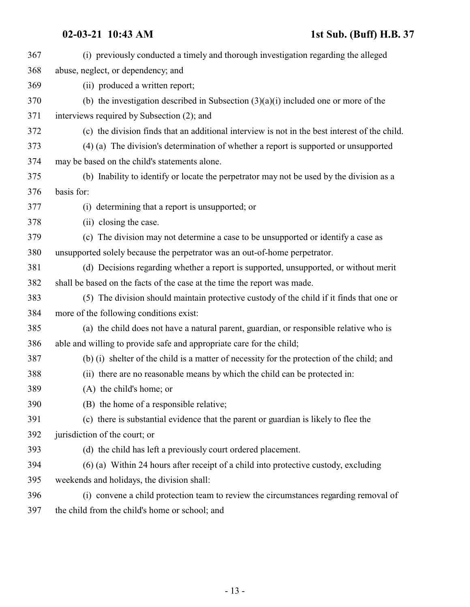| 367 | (i) previously conducted a timely and thorough investigation regarding the alleged            |
|-----|-----------------------------------------------------------------------------------------------|
| 368 | abuse, neglect, or dependency; and                                                            |
| 369 | (ii) produced a written report;                                                               |
| 370 | (b) the investigation described in Subsection $(3)(a)(i)$ included one or more of the         |
| 371 | interviews required by Subsection (2); and                                                    |
| 372 | (c) the division finds that an additional interview is not in the best interest of the child. |
| 373 | (4) (a) The division's determination of whether a report is supported or unsupported          |
| 374 | may be based on the child's statements alone.                                                 |
| 375 | (b) Inability to identify or locate the perpetrator may not be used by the division as a      |
| 376 | basis for:                                                                                    |
| 377 | (i) determining that a report is unsupported; or                                              |
| 378 | (ii) closing the case.                                                                        |
| 379 | (c) The division may not determine a case to be unsupported or identify a case as             |
| 380 | unsupported solely because the perpetrator was an out-of-home perpetrator.                    |
| 381 | (d) Decisions regarding whether a report is supported, unsupported, or without merit          |
| 382 | shall be based on the facts of the case at the time the report was made.                      |
| 383 | (5) The division should maintain protective custody of the child if it finds that one or      |
| 384 | more of the following conditions exist:                                                       |
| 385 | (a) the child does not have a natural parent, guardian, or responsible relative who is        |
| 386 | able and willing to provide safe and appropriate care for the child;                          |
| 387 | (b) (i) shelter of the child is a matter of necessity for the protection of the child; and    |
| 388 | (ii) there are no reasonable means by which the child can be protected in:                    |
| 389 | (A) the child's home; or                                                                      |
| 390 | (B) the home of a responsible relative;                                                       |
| 391 | (c) there is substantial evidence that the parent or guardian is likely to flee the           |
| 392 | jurisdiction of the court; or                                                                 |
| 393 | (d) the child has left a previously court ordered placement.                                  |
| 394 | (6) (a) Within 24 hours after receipt of a child into protective custody, excluding           |
| 395 | weekends and holidays, the division shall:                                                    |
| 396 | (i) convene a child protection team to review the circumstances regarding removal of          |
| 397 | the child from the child's home or school; and                                                |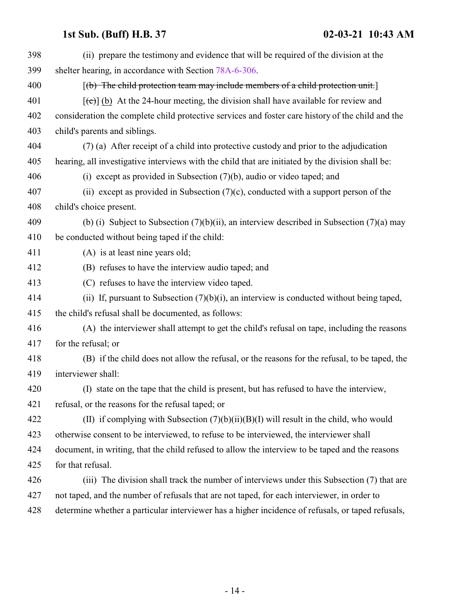| 398 | (ii) prepare the testimony and evidence that will be required of the division at the                      |
|-----|-----------------------------------------------------------------------------------------------------------|
| 399 | shelter hearing, in accordance with Section 78A-6-306.                                                    |
| 400 | $[(b)$ The child protection team may include members of a child protection unit.                          |
| 401 | $[\text{f}\text{c}\text{d}]$ (b) At the 24-hour meeting, the division shall have available for review and |
| 402 | consideration the complete child protective services and foster care history of the child and the         |
| 403 | child's parents and siblings.                                                                             |
| 404 | (7) (a) After receipt of a child into protective custody and prior to the adjudication                    |
| 405 | hearing, all investigative interviews with the child that are initiated by the division shall be:         |
| 406 | (i) except as provided in Subsection $(7)(b)$ , audio or video taped; and                                 |
| 407 | (ii) except as provided in Subsection $(7)(c)$ , conducted with a support person of the                   |
| 408 | child's choice present.                                                                                   |
| 409 | (b) (i) Subject to Subsection $(7)(b)(ii)$ , an interview described in Subsection $(7)(a)$ may            |
| 410 | be conducted without being taped if the child:                                                            |
| 411 | (A) is at least nine years old;                                                                           |
| 412 | (B) refuses to have the interview audio taped; and                                                        |
| 413 | (C) refuses to have the interview video taped.                                                            |
| 414 | (ii) If, pursuant to Subsection $(7)(b)(i)$ , an interview is conducted without being taped,              |
| 415 | the child's refusal shall be documented, as follows:                                                      |
| 416 | (A) the interviewer shall attempt to get the child's refusal on tape, including the reasons               |
| 417 | for the refusal; or                                                                                       |
| 418 | (B) if the child does not allow the refusal, or the reasons for the refusal, to be taped, the             |
| 419 | interviewer shall:                                                                                        |
| 420 | (I) state on the tape that the child is present, but has refused to have the interview,                   |
| 421 | refusal, or the reasons for the refusal taped; or                                                         |
| 422 | (II) if complying with Subsection $(7)(b)(ii)(B)(I)$ will result in the child, who would                  |
| 423 | otherwise consent to be interviewed, to refuse to be interviewed, the interviewer shall                   |
| 424 | document, in writing, that the child refused to allow the interview to be taped and the reasons           |
| 425 | for that refusal.                                                                                         |
| 426 | (iii) The division shall track the number of interviews under this Subsection (7) that are                |
| 427 | not taped, and the number of refusals that are not taped, for each interviewer, in order to               |
| 428 | determine whether a particular interviewer has a higher incidence of refusals, or taped refusals,         |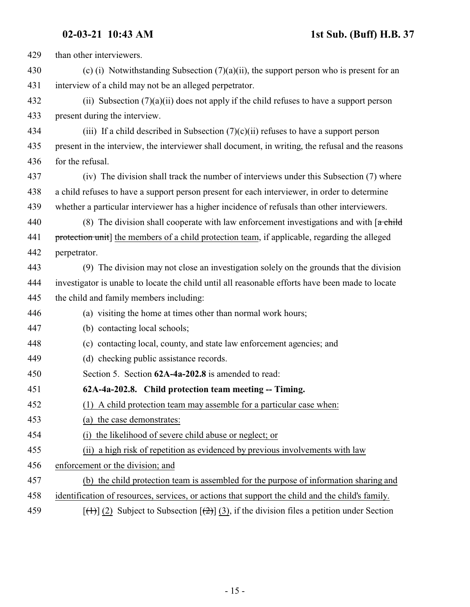| 429 | than other interviewers.                                                                                           |
|-----|--------------------------------------------------------------------------------------------------------------------|
| 430 | (c) (i) Notwithstanding Subsection $(7)(a)(ii)$ , the support person who is present for an                         |
| 431 | interview of a child may not be an alleged perpetrator.                                                            |
| 432 | (ii) Subsection $(7)(a)(ii)$ does not apply if the child refuses to have a support person                          |
| 433 | present during the interview.                                                                                      |
| 434 | (iii) If a child described in Subsection $(7)(c)(ii)$ refuses to have a support person                             |
| 435 | present in the interview, the interviewer shall document, in writing, the refusal and the reasons                  |
| 436 | for the refusal.                                                                                                   |
| 437 | (iv) The division shall track the number of interviews under this Subsection (7) where                             |
| 438 | a child refuses to have a support person present for each interviewer, in order to determine                       |
| 439 | whether a particular interviewer has a higher incidence of refusals than other interviewers.                       |
| 440 | (8) The division shall cooperate with law enforcement investigations and with $\lceil a \cdot \text{child} \rceil$ |
| 441 | protection unit] the members of a child protection team, if applicable, regarding the alleged                      |
| 442 | perpetrator.                                                                                                       |
| 443 | (9) The division may not close an investigation solely on the grounds that the division                            |
| 444 | investigator is unable to locate the child until all reasonable efforts have been made to locate                   |
| 445 | the child and family members including:                                                                            |
| 446 | (a) visiting the home at times other than normal work hours;                                                       |
| 447 | (b) contacting local schools;                                                                                      |
| 448 | (c) contacting local, county, and state law enforcement agencies; and                                              |
| 449 | (d) checking public assistance records.                                                                            |
| 450 | Section 5. Section 62A-4a-202.8 is amended to read:                                                                |
| 451 | 62A-4a-202.8. Child protection team meeting -- Timing.                                                             |
| 452 | A child protection team may assemble for a particular case when:                                                   |
| 453 | (a) the case demonstrates:                                                                                         |
| 454 | the likelihood of severe child abuse or neglect; or<br>(i)                                                         |
| 455 | a high risk of repetition as evidenced by previous involvements with law<br>(ii)                                   |
| 456 | enforcement or the division; and                                                                                   |
| 457 | (b) the child protection team is assembled for the purpose of information sharing and                              |
| 458 | identification of resources, services, or actions that support the child and the child's family.                   |
| 459 | $[\frac{+1}{2}]$ (2) Subject to Subsection $[\frac{+2}{2}]$ (3), if the division files a petition under Section    |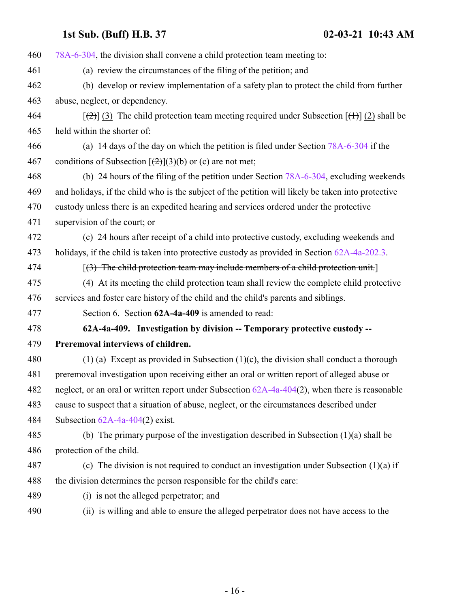| (b) develop or review implementation of a safety plan to protect the child from further<br>$[\frac{1}{2}]$ (3) The child protection team meeting required under Subsection $[\frac{1}{2}]$ (2) shall be |
|---------------------------------------------------------------------------------------------------------------------------------------------------------------------------------------------------------|
|                                                                                                                                                                                                         |
|                                                                                                                                                                                                         |
|                                                                                                                                                                                                         |
|                                                                                                                                                                                                         |
|                                                                                                                                                                                                         |
| (a) 14 days of the day on which the petition is filed under Section 78A-6-304 if the                                                                                                                    |
|                                                                                                                                                                                                         |
| (b) 24 hours of the filing of the petition under Section $78A-6-304$ , excluding weekends                                                                                                               |
| and holidays, if the child who is the subject of the petition will likely be taken into protective                                                                                                      |
| custody unless there is an expedited hearing and services ordered under the protective                                                                                                                  |
|                                                                                                                                                                                                         |
| (c) 24 hours after receipt of a child into protective custody, excluding weekends and                                                                                                                   |
| holidays, if the child is taken into protective custody as provided in Section 62A-4a-202.3.                                                                                                            |
| $(3)$ The child protection team may include members of a child protection unit.                                                                                                                         |
|                                                                                                                                                                                                         |
| (4) At its meeting the child protection team shall review the complete child protective                                                                                                                 |
|                                                                                                                                                                                                         |
|                                                                                                                                                                                                         |
| 62A-4a-409. Investigation by division -- Temporary protective custody --                                                                                                                                |
|                                                                                                                                                                                                         |
| $(1)$ (a) Except as provided in Subsection $(1)(c)$ , the division shall conduct a thorough                                                                                                             |
| preremoval investigation upon receiving either an oral or written report of alleged abuse or                                                                                                            |
| neglect, or an oral or written report under Subsection $62A-4a-404(2)$ , when there is reasonable                                                                                                       |
| cause to suspect that a situation of abuse, neglect, or the circumstances described under                                                                                                               |
|                                                                                                                                                                                                         |
| (b) The primary purpose of the investigation described in Subsection $(1)(a)$ shall be                                                                                                                  |
|                                                                                                                                                                                                         |
| (c) The division is not required to conduct an investigation under Subsection $(1)(a)$ if                                                                                                               |
|                                                                                                                                                                                                         |
|                                                                                                                                                                                                         |
|                                                                                                                                                                                                         |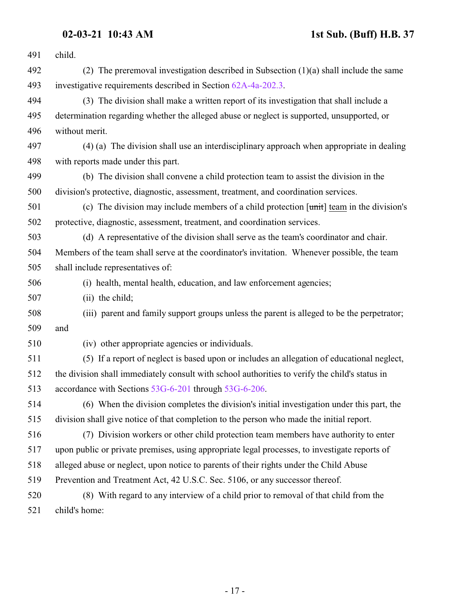| 491 | child.                                                                                            |
|-----|---------------------------------------------------------------------------------------------------|
| 492 | (2) The preremoval investigation described in Subsection $(1)(a)$ shall include the same          |
| 493 | investigative requirements described in Section 62A-4a-202.3.                                     |
| 494 | (3) The division shall make a written report of its investigation that shall include a            |
| 495 | determination regarding whether the alleged abuse or neglect is supported, unsupported, or        |
| 496 | without merit.                                                                                    |
| 497 | (4) (a) The division shall use an interdisciplinary approach when appropriate in dealing          |
| 498 | with reports made under this part.                                                                |
| 499 | (b) The division shall convene a child protection team to assist the division in the              |
| 500 | division's protective, diagnostic, assessment, treatment, and coordination services.              |
| 501 | (c) The division may include members of a child protection $[\text{unit}]$ team in the division's |
| 502 | protective, diagnostic, assessment, treatment, and coordination services.                         |
| 503 | (d) A representative of the division shall serve as the team's coordinator and chair.             |
| 504 | Members of the team shall serve at the coordinator's invitation. Whenever possible, the team      |
| 505 | shall include representatives of:                                                                 |
| 506 | (i) health, mental health, education, and law enforcement agencies;                               |
| 507 | (ii) the child;                                                                                   |
| 508 | (iii) parent and family support groups unless the parent is alleged to be the perpetrator;        |
| 509 | and                                                                                               |
| 510 | (iv) other appropriate agencies or individuals.                                                   |
| 511 | (5) If a report of neglect is based upon or includes an allegation of educational neglect,        |
| 512 | the division shall immediately consult with school authorities to verify the child's status in    |
| 513 | accordance with Sections 53G-6-201 through 53G-6-206.                                             |
| 514 | (6) When the division completes the division's initial investigation under this part, the         |
| 515 | division shall give notice of that completion to the person who made the initial report.          |
| 516 | (7) Division workers or other child protection team members have authority to enter               |
| 517 | upon public or private premises, using appropriate legal processes, to investigate reports of     |
| 518 | alleged abuse or neglect, upon notice to parents of their rights under the Child Abuse            |
| 519 | Prevention and Treatment Act, 42 U.S.C. Sec. 5106, or any successor thereof.                      |
| 520 | (8) With regard to any interview of a child prior to removal of that child from the               |
| 521 | child's home:                                                                                     |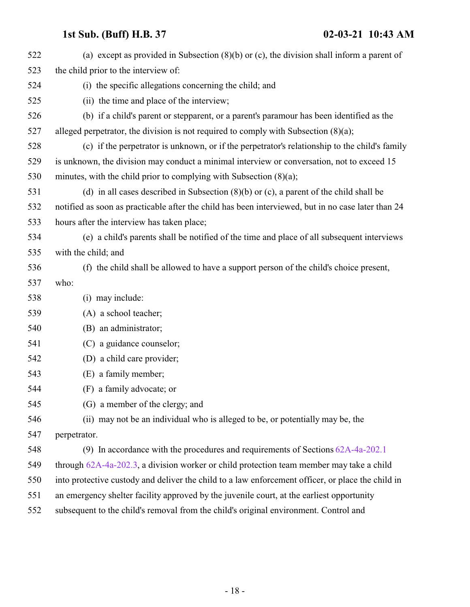<span id="page-17-0"></span>

| 522 | (a) except as provided in Subsection $(8)(b)$ or $(c)$ , the division shall inform a parent of     |
|-----|----------------------------------------------------------------------------------------------------|
| 523 | the child prior to the interview of:                                                               |
| 524 | (i) the specific allegations concerning the child; and                                             |
| 525 | (ii) the time and place of the interview;                                                          |
| 526 | (b) if a child's parent or stepparent, or a parent's paramour has been identified as the           |
| 527 | alleged perpetrator, the division is not required to comply with Subsection $(8)(a)$ ;             |
| 528 | (c) if the perpetrator is unknown, or if the perpetrator's relationship to the child's family      |
| 529 | is unknown, the division may conduct a minimal interview or conversation, not to exceed 15         |
| 530 | minutes, with the child prior to complying with Subsection (8)(a);                                 |
| 531 | (d) in all cases described in Subsection $(8)(b)$ or $(c)$ , a parent of the child shall be        |
| 532 | notified as soon as practicable after the child has been interviewed, but in no case later than 24 |
| 533 | hours after the interview has taken place;                                                         |
| 534 | (e) a child's parents shall be notified of the time and place of all subsequent interviews         |
| 535 | with the child; and                                                                                |
| 536 | (f) the child shall be allowed to have a support person of the child's choice present,             |
| 537 | who:                                                                                               |
| 538 | (i) may include:                                                                                   |
| 539 | (A) a school teacher;                                                                              |
| 540 | (B) an administrator;                                                                              |
| 541 | (C) a guidance counselor;                                                                          |
| 542 | (D) a child care provider;                                                                         |
| 543 | (E) a family member;                                                                               |
| 544 | (F) a family advocate; or                                                                          |
| 545 | (G) a member of the clergy; and                                                                    |
| 546 | (ii) may not be an individual who is alleged to be, or potentially may be, the                     |
| 547 | perpetrator.                                                                                       |
| 548 | (9) In accordance with the procedures and requirements of Sections $62A-4a-202.1$                  |
| 549 | through 62A-4a-202.3, a division worker or child protection team member may take a child           |
| 550 | into protective custody and deliver the child to a law enforcement officer, or place the child in  |
| 551 | an emergency shelter facility approved by the juvenile court, at the earliest opportunity          |
| 552 | subsequent to the child's removal from the child's original environment. Control and               |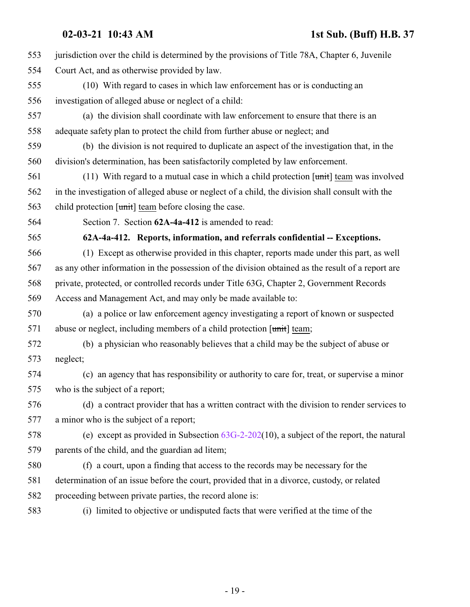| 553 | jurisdiction over the child is determined by the provisions of Title 78A, Chapter 6, Juvenile     |
|-----|---------------------------------------------------------------------------------------------------|
| 554 | Court Act, and as otherwise provided by law.                                                      |
| 555 | (10) With regard to cases in which law enforcement has or is conducting an                        |
| 556 | investigation of alleged abuse or neglect of a child:                                             |
| 557 | (a) the division shall coordinate with law enforcement to ensure that there is an                 |
| 558 | adequate safety plan to protect the child from further abuse or neglect; and                      |
| 559 | (b) the division is not required to duplicate an aspect of the investigation that, in the         |
| 560 | division's determination, has been satisfactorily completed by law enforcement.                   |
| 561 | (11) With regard to a mutual case in which a child protection $[\text{unit}]$ team was involved   |
| 562 | in the investigation of alleged abuse or neglect of a child, the division shall consult with the  |
| 563 | child protection $[\text{unit}]$ team before closing the case.                                    |
| 564 | Section 7. Section 62A-4a-412 is amended to read:                                                 |
| 565 | 62A-4a-412. Reports, information, and referrals confidential -- Exceptions.                       |
| 566 | (1) Except as otherwise provided in this chapter, reports made under this part, as well           |
| 567 | as any other information in the possession of the division obtained as the result of a report are |
| 568 | private, protected, or controlled records under Title 63G, Chapter 2, Government Records          |
| 569 | Access and Management Act, and may only be made available to:                                     |
| 570 | (a) a police or law enforcement agency investigating a report of known or suspected               |
| 571 | abuse or neglect, including members of a child protection [unit] team;                            |
| 572 | (b) a physician who reasonably believes that a child may be the subject of abuse or               |
| 573 | neglect;                                                                                          |
| 574 | (c) an agency that has responsibility or authority to care for, treat, or supervise a minor       |
| 575 | who is the subject of a report;                                                                   |
| 576 | (d) a contract provider that has a written contract with the division to render services to       |
| 577 | a minor who is the subject of a report;                                                           |
| 578 | (e) except as provided in Subsection $63G-2-202(10)$ , a subject of the report, the natural       |
| 579 | parents of the child, and the guardian ad litem;                                                  |
| 580 | (f) a court, upon a finding that access to the records may be necessary for the                   |
| 581 | determination of an issue before the court, provided that in a divorce, custody, or related       |
| 582 | proceeding between private parties, the record alone is:                                          |
| 583 | (i) limited to objective or undisputed facts that were verified at the time of the                |
|     |                                                                                                   |

- 19 -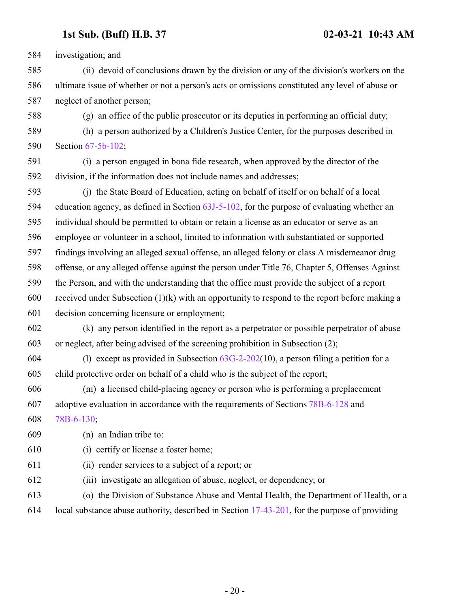investigation; and

 (ii) devoid of conclusions drawn by the division or any of the division's workers on the ultimate issue of whether or not a person's acts or omissions constituted any level of abuse or neglect of another person;

(g) an office of the public prosecutor or its deputies in performing an official duty;

 (h) a person authorized by a Children's Justice Center, for the purposes described in Section [67-5b-102](http://le.utah.gov/UtahCode/SectionLookup.jsp?section=67-5b-102&session=2021GS);

 (i) a person engaged in bona fide research, when approved by the director of the division, if the information does not include names and addresses;

 (j) the State Board of Education, acting on behalf of itself or on behalf of a local education agency, as defined in Section [63J-5-102](http://le.utah.gov/UtahCode/SectionLookup.jsp?section=63j-5-102&session=2021GS), for the purpose of evaluating whether an individual should be permitted to obtain or retain a license as an educator or serve as an employee or volunteer in a school, limited to information with substantiated or supported findings involving an alleged sexual offense, an alleged felony or class A misdemeanor drug offense, or any alleged offense against the person under Title 76, Chapter 5, Offenses Against the Person, and with the understanding that the office must provide the subject of a report received under Subsection (1)(k) with an opportunity to respond to the report before making a decision concerning licensure or employment;

 (k) any person identified in the report as a perpetrator or possible perpetrator of abuse or neglect, after being advised of the screening prohibition in Subsection (2);

604 (l) except as provided in Subsection  $63G-2-202(10)$ , a person filing a petition for a child protective order on behalf of a child who is the subject of the report;

 (m) a licensed child-placing agency or person who is performing a preplacement adoptive evaluation in accordance with the requirements of Sections [78B-6-128](http://le.utah.gov/UtahCode/SectionLookup.jsp?section=78b-6-128&session=2021GS) and [78B-6-130](http://le.utah.gov/UtahCode/SectionLookup.jsp?section=78b-6-130&session=2021GS);

(n) an Indian tribe to:

- (i) certify or license a foster home;
- (ii) render services to a subject of a report; or
- (iii) investigate an allegation of abuse, neglect, or dependency; or

(o) the Division of Substance Abuse and Mental Health, the Department of Health, or a

local substance abuse authority, described in Section [17-43-201](http://le.utah.gov/UtahCode/SectionLookup.jsp?section=17-43-201&session=2021GS), for the purpose of providing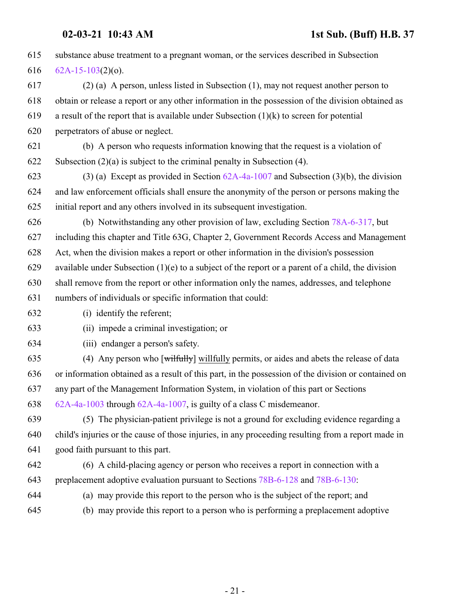| 615 | substance abuse treatment to a pregnant woman, or the services described in Subsection              |
|-----|-----------------------------------------------------------------------------------------------------|
| 616 | $62A-15-103(2)(o)$ .                                                                                |
| 617 | $(2)$ (a) A person, unless listed in Subsection (1), may not request another person to              |
| 618 | obtain or release a report or any other information in the possession of the division obtained as   |
| 619 | a result of the report that is available under Subsection $(1)(k)$ to screen for potential          |
| 620 | perpetrators of abuse or neglect.                                                                   |
| 621 | (b) A person who requests information knowing that the request is a violation of                    |
| 622 | Subsection $(2)(a)$ is subject to the criminal penalty in Subsection (4).                           |
| 623 | (3) (a) Except as provided in Section $62A-4a-1007$ and Subsection (3)(b), the division             |
| 624 | and law enforcement officials shall ensure the anonymity of the person or persons making the        |
| 625 | initial report and any others involved in its subsequent investigation.                             |
| 626 | (b) Notwithstanding any other provision of law, excluding Section 78A-6-317, but                    |
| 627 | including this chapter and Title 63G, Chapter 2, Government Records Access and Management           |
| 628 | Act, when the division makes a report or other information in the division's possession             |
| 629 | available under Subsection $(1)(e)$ to a subject of the report or a parent of a child, the division |
| 630 | shall remove from the report or other information only the names, addresses, and telephone          |
| 631 | numbers of individuals or specific information that could:                                          |
| 632 | (i) identify the referent;                                                                          |
| 633 | (ii) impede a criminal investigation; or                                                            |
| 634 | (iii) endanger a person's safety.                                                                   |
| 635 | (4) Any person who [wilfully] willfully permits, or aides and abets the release of data             |
| 636 | or information obtained as a result of this part, in the possession of the division or contained on |
| 637 | any part of the Management Information System, in violation of this part or Sections                |
| 638 | 62A-4a-1003 through 62A-4a-1007, is guilty of a class C misdemeanor.                                |
| 639 | (5) The physician-patient privilege is not a ground for excluding evidence regarding a              |
| 640 | child's injuries or the cause of those injuries, in any proceeding resulting from a report made in  |
| 641 | good faith pursuant to this part.                                                                   |
| 642 | (6) A child-placing agency or person who receives a report in connection with a                     |
| 643 | preplacement adoptive evaluation pursuant to Sections 78B-6-128 and 78B-6-130.                      |
| 644 | (a) may provide this report to the person who is the subject of the report; and                     |
| 645 | (b) may provide this report to a person who is performing a preplacement adoptive                   |
|     |                                                                                                     |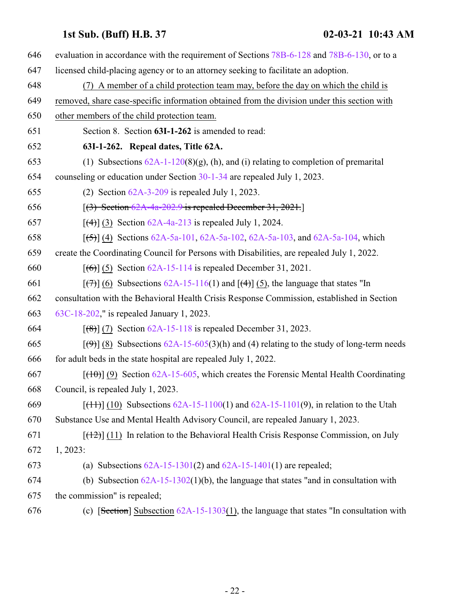| 646 | evaluation in accordance with the requirement of Sections 78B-6-128 and 78B-6-130, or to a                      |
|-----|-----------------------------------------------------------------------------------------------------------------|
| 647 | licensed child-placing agency or to an attorney seeking to facilitate an adoption.                              |
| 648 | (7) A member of a child protection team may, before the day on which the child is                               |
| 649 | removed, share case-specific information obtained from the division under this section with                     |
| 650 | other members of the child protection team.                                                                     |
| 651 | Section 8. Section 63I-1-262 is amended to read:                                                                |
| 652 | 63I-1-262. Repeal dates, Title 62A.                                                                             |
| 653 | (1) Subsections $62A-1-120(8)(g)$ , (h), and (i) relating to completion of premarital                           |
| 654 | counseling or education under Section $30-1-34$ are repealed July 1, 2023.                                      |
| 655 | (2) Section $62A-3-209$ is repealed July 1, 2023.                                                               |
| 656 | $[3]$ Section 62A-4a-202.9 is repealed December 31, 2021.                                                       |
| 657 | $[$ (4)] (3) Section 62A-4a-213 is repealed July 1, 2024.                                                       |
| 658 | $[5]$ (4) Sections 62A-5a-101, 62A-5a-102, 62A-5a-103, and 62A-5a-104, which                                    |
| 659 | create the Coordinating Council for Persons with Disabilities, are repealed July 1, 2022.                       |
| 660 | $[ (6) ] (5)$ Section 62A-15-114 is repealed December 31, 2021.                                                 |
| 661 | $[\overline{(+)}]$ (6) Subsections 62A-15-116(1) and $[\overline{(+)}]$ (5), the language that states "In       |
| 662 | consultation with the Behavioral Health Crisis Response Commission, established in Section                      |
| 663 | 63C-18-202," is repealed January 1, 2023.                                                                       |
| 664 | $[ (8) ]$ (7) Section 62A-15-118 is repealed December 31, 2023.                                                 |
| 665 | $[\frac{(\Theta)}{(\Theta)}]$ (8) Subsections 62A-15-605(3)(h) and (4) relating to the study of long-term needs |
| 666 | for adult beds in the state hospital are repealed July 1, 2022.                                                 |
| 667 | $[(10)(9)$ Section 62A-15-605, which creates the Forensic Mental Health Coordinating                            |
| 668 | Council, is repealed July 1, 2023.                                                                              |
| 669 | $[ (11) ] (10)$ Subsections 62A-15-1100(1) and 62A-15-1101(9), in relation to the Utah                          |
| 670 | Substance Use and Mental Health Advisory Council, are repealed January 1, 2023.                                 |
| 671 | $[\frac{12}{11}]$ In relation to the Behavioral Health Crisis Response Commission, on July                      |
| 672 | 1, 2023:                                                                                                        |
| 673 | (a) Subsections $62A-15-1301(2)$ and $62A-15-1401(1)$ are repealed;                                             |
| 674 | (b) Subsection $62A-15-1302(1)(b)$ , the language that states "and in consultation with                         |
| 675 | the commission" is repealed;                                                                                    |
| 676 | (c) [Section] Subsection $62A-15-1303(1)$ , the language that states "In consultation with                      |